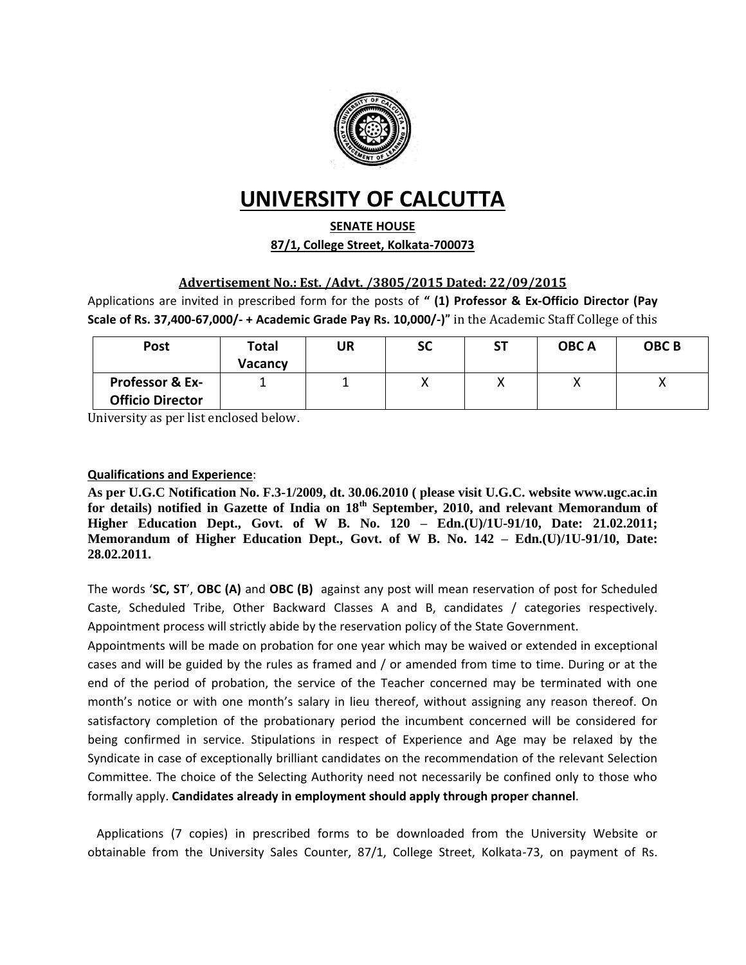

# **UNIVERSITY OF CALCUTTA**

### **SENATE HOUSE**

**87/1, College Street, Kolkata-700073**

### **Advertisement No.: Est. /Advt. /3805/2015 Dated: 22/09/2015**

Applications are invited in prescribed form for the posts of **" (1) Professor & Ex-Officio Director (Pay Scale of Rs. 37,400-67,000/- + Academic Grade Pay Rs. 10,000/-)"** in the Academic Staff College of this

| <b>Post</b>                                           | Total<br><b>Vacancy</b> | UR | <b>SC</b> | ST | <b>OBCA</b> | <b>OBCB</b> |
|-------------------------------------------------------|-------------------------|----|-----------|----|-------------|-------------|
| <b>Professor &amp; Ex-</b><br><b>Officio Director</b> |                         |    | $\lambda$ | 71 |             |             |

University as per list enclosed below.

#### **Qualifications and Experience**:

**As per U.G.C Notification No. F.3-1/2009, dt. 30.06.2010 ( please visit U.G.C. website www.ugc.ac.in for details) notified in Gazette of India on 18th September, 2010, and relevant Memorandum of Higher Education Dept., Govt. of W B. No. 120 – Edn.(U)/1U-91/10, Date: 21.02.2011; Memorandum of Higher Education Dept., Govt. of W B. No. 142 – Edn.(U)/1U-91/10, Date: 28.02.2011.**

The words '**SC, ST**', **OBC (A)** and **OBC (B)** against any post will mean reservation of post for Scheduled Caste, Scheduled Tribe, Other Backward Classes A and B, candidates / categories respectively. Appointment process will strictly abide by the reservation policy of the State Government.

Appointments will be made on probation for one year which may be waived or extended in exceptional cases and will be guided by the rules as framed and / or amended from time to time. During or at the end of the period of probation, the service of the Teacher concerned may be terminated with one month's notice or with one month's salary in lieu thereof, without assigning any reason thereof. On satisfactory completion of the probationary period the incumbent concerned will be considered for being confirmed in service. Stipulations in respect of Experience and Age may be relaxed by the Syndicate in case of exceptionally brilliant candidates on the recommendation of the relevant Selection Committee. The choice of the Selecting Authority need not necessarily be confined only to those who formally apply. **Candidates already in employment should apply through proper channel**.

 Applications (7 copies) in prescribed forms to be downloaded from the University Website or obtainable from the University Sales Counter, 87/1, College Street, Kolkata-73, on payment of Rs.